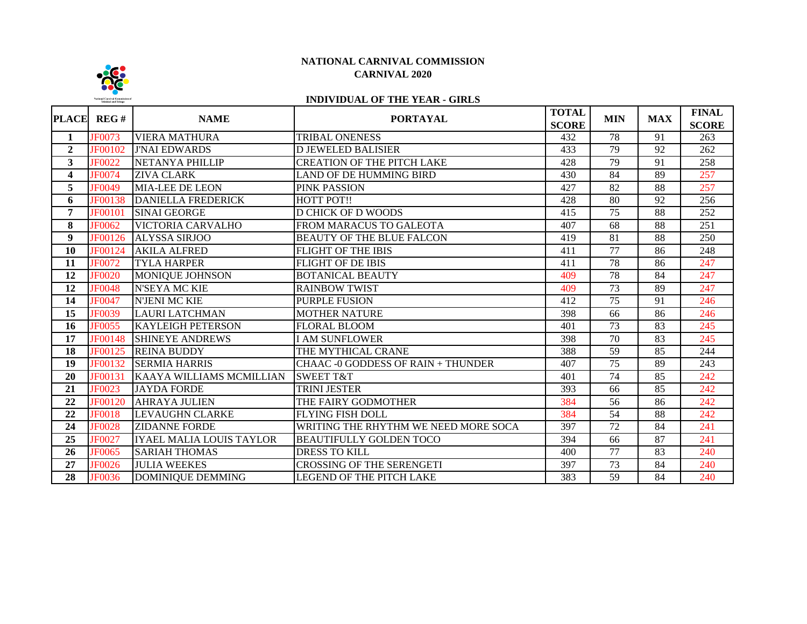

## **NATIONAL CARNIVAL COMMISSION CARNIVAL 2020**

# **INDIVIDUAL OF THE YEAR - GIRLS**

| <b>PLACE</b>   | REG#           | <b>NAME</b>               | <b>PORTAYAL</b>                      | <b>TOTAL</b><br><b>SCORE</b> | <b>MIN</b>      | <b>MAX</b> | <b>FINAL</b><br><b>SCORE</b> |
|----------------|----------------|---------------------------|--------------------------------------|------------------------------|-----------------|------------|------------------------------|
| $\mathbf{1}$   | <b>JF0073</b>  | <b>VIERA MATHURA</b>      | <b>TRIBAL ONENESS</b>                | 432                          | $\overline{78}$ | 91         | 263                          |
| $\overline{2}$ | <b>JF00102</b> | <b>J'NAI EDWARDS</b>      | <b>D JEWELED BALISIER</b>            | 433                          | 79              | 92         | 262                          |
| 3              | <b>JF0022</b>  | NETANYA PHILLIP           | <b>CREATION OF THE PITCH LAKE</b>    | 428                          | $\overline{79}$ | 91         | 258                          |
| 4              | <b>JF0074</b>  | <b>ZIVA CLARK</b>         | LAND OF DE HUMMING BIRD              | 430                          | 84              | 89         | 257                          |
| 5              | <b>JF0049</b>  | <b>MIA-LEE DE LEON</b>    | PINK PASSION                         | 427                          | 82              | 88         | 257                          |
| 6              | <b>JF00138</b> | <b>DANIELLA FREDERICK</b> | <b>HOTT POT!!</b>                    | 428                          | 80              | 92         | 256                          |
| 7              | <b>JF00101</b> | <b>SINAI GEORGE</b>       | <b>D CHICK OF D WOODS</b>            | 415                          | 75              | 88         | 252                          |
| 8              | JF0062         | VICTORIA CARVALHO         | FROM MARACUS TO GALEOTA              | 407                          | 68              | 88         | 251                          |
| 9              | JF00126        | <b>ALYSSA SIRJOO</b>      | <b>BEAUTY OF THE BLUE FALCON</b>     | 419                          | 81              | 88         | 250                          |
| 10             | JF00124        | <b>AKILA ALFRED</b>       | FLIGHT OF THE IBIS                   | 411                          | 77              | 86         | 248                          |
| 11             | <b>JF0072</b>  | <b>TYLA HARPER</b>        | FLIGHT OF DE IBIS                    | 411                          | 78              | 86         | 247                          |
| 12             | <b>JF0020</b>  | MONIQUE JOHNSON           | BOTANICAL BEAUTY                     | 409                          | 78              | 84         | 247                          |
| 12             | <b>JF0048</b>  | <b>N'SEYA MC KIE</b>      | <b>RAINBOW TWIST</b>                 | 409                          | 73              | 89         | 247                          |
| 14             | JF0047         | <b>N'JENI MC KIE</b>      | <b>PURPLE FUSION</b>                 | 412                          | 75              | 91         | 246                          |
| 15             | JF0039         | <b>LAURI LATCHMAN</b>     | <b>MOTHER NATURE</b>                 | 398                          | 66              | 86         | 246                          |
| 16             | <b>JF0055</b>  | <b>KAYLEIGH PETERSON</b>  | FLORAL BLOOM                         | 401                          | 73              | 83         | 245                          |
| 17             | <b>JF00148</b> | <b>SHINEYE ANDREWS</b>    | <b>I AM SUNFLOWER</b>                | 398                          | 70              | 83         | 245                          |
| 18             | <b>JF00125</b> | <b>REINA BUDDY</b>        | THE MYTHICAL CRANE                   | 388                          | 59              | 85         | 244                          |
| 19             | JF00132        | <b>SERMIA HARRIS</b>      | CHAAC -0 GODDESS OF RAIN + THUNDER   | 407                          | 75              | 89         | 243                          |
| 20             | JF00131        | KAAYA WILLIAMS MCMILLIAN  | <b>SWEET T&amp;T</b>                 | 401                          | 74              | 85         | 242                          |
| 21             | <b>JF0023</b>  | <b>JAYDA FORDE</b>        | TRINI JESTER                         | 393                          | 66              | 85         | 242                          |
| 22             | JF00120        | <b>AHRAYA JULIEN</b>      | THE FAIRY GODMOTHER                  | 384                          | 56              | 86         | 242                          |
| 22             | <b>JF0018</b>  | <b>LEVAUGHN CLARKE</b>    | <b>FLYING FISH DOLL</b>              | 384                          | 54              | 88         | 242                          |
| 24             | <b>JF0028</b>  | <b>ZIDANNE FORDE</b>      | WRITING THE RHYTHM WE NEED MORE SOCA | 397                          | 72              | 84         | 241                          |
| 25             | JF0027         | IYAEL MALIA LOUIS TAYLOR  | <b>BEAUTIFULLY GOLDEN TOCO</b>       | 394                          | 66              | 87         | 241                          |
| 26             | <b>JF0065</b>  | <b>SARIAH THOMAS</b>      | <b>DRESS TO KILL</b>                 | 400                          | 77              | 83         | 240                          |
| 27             | <b>JF0026</b>  | <b>JULIA WEEKES</b>       | <b>CROSSING OF THE SERENGETI</b>     | 397                          | 73              | 84         | 240                          |
| 28             | <b>JF0036</b>  | <b>DOMINIQUE DEMMING</b>  | LEGEND OF THE PITCH LAKE             | 383                          | 59              | 84         | 240                          |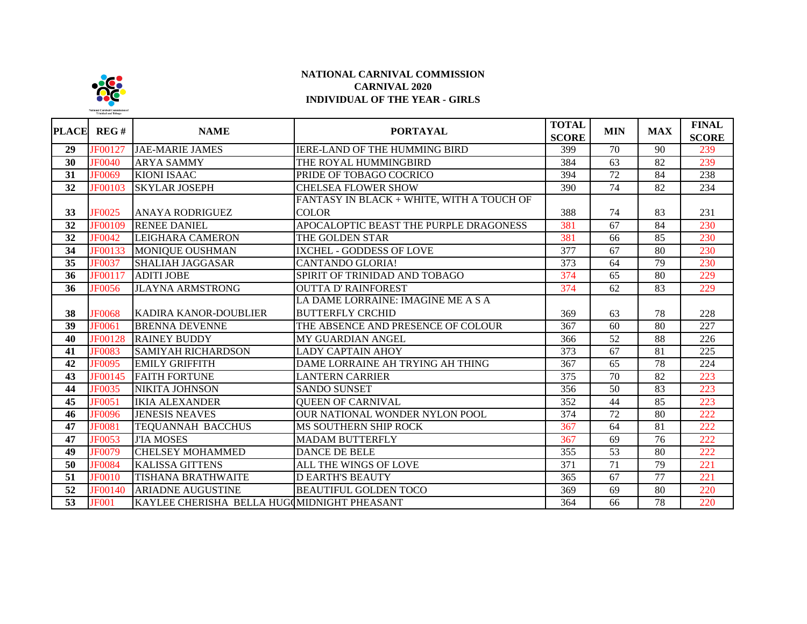

### **NATIONAL CARNIVAL COMMISSION CARNIVAL 2020 INDIVIDUAL OF THE YEAR - GIRLS**

| PLACE           | REG#           | <b>NAME</b>                                 | <b>PORTAYAL</b>                           | <b>TOTAL</b><br><b>SCORE</b> | <b>MIN</b>      | <b>MAX</b>      | <b>FINAL</b><br><b>SCORE</b> |
|-----------------|----------------|---------------------------------------------|-------------------------------------------|------------------------------|-----------------|-----------------|------------------------------|
| 29              | JF00127        | <b>JAE-MARIE JAMES</b>                      | <b>IERE-LAND OF THE HUMMING BIRD</b>      | 399                          | $\overline{70}$ | 90              | 239                          |
| 30              | <b>JF0040</b>  | <b>ARYA SAMMY</b>                           | THE ROYAL HUMMINGBIRD                     | 384                          | 63              | 82              | 239                          |
| 31              | <b>JF0069</b>  | <b>KIONI ISAAC</b>                          | PRIDE OF TOBAGO COCRICO                   | 394                          | $\overline{72}$ | 84              | 238                          |
| 32              | <b>JF00103</b> | <b>SKYLAR JOSEPH</b>                        | <b>CHELSEA FLOWER SHOW</b>                | 390                          | 74              | 82              | 234                          |
|                 |                |                                             | FANTASY IN BLACK + WHITE, WITH A TOUCH OF |                              |                 |                 |                              |
| 33              | <b>JF0025</b>  | <b>ANAYA RODRIGUEZ</b>                      | <b>COLOR</b>                              | 388                          | 74              | 83              | 231                          |
| 32              | <b>JF00109</b> | <b>RENEE DANIEL</b>                         | APOCALOPTIC BEAST THE PURPLE DRAGONESS    | 381                          | 67              | 84              | 230                          |
| 32              | <b>JF0042</b>  | LEIGHARA CAMERON                            | THE GOLDEN STAR                           | 381                          | 66              | 85              | 230                          |
| 34              | <b>JF00133</b> | MONIQUE OUSHMAN                             | IXCHEL - GODDESS OF LOVE                  | 377                          | 67              | 80              | 230                          |
| 35              | <b>JF0037</b>  | <b>SHALIAH JAGGASAR</b>                     | <b>CANTANDO GLORIA!</b>                   | 373                          | 64              | 79              | 230                          |
| 36              | JF00117        | <b>ADITI JOBE</b>                           | SPIRIT OF TRINIDAD AND TOBAGO             | 374                          | 65              | 80              | 229                          |
| 36              | <b>JF0056</b>  | <b>JLAYNA ARMSTRONG</b>                     | <b>OUTTA D' RAINFOREST</b>                | 374                          | 62              | 83              | 229                          |
|                 |                |                                             | LA DAME LORRAINE: IMAGINE ME A S A        |                              |                 |                 |                              |
| 38              | <b>JF0068</b>  | <b>KADIRA KANOR-DOUBLIER</b>                | <b>BUTTERFLY CRCHID</b>                   | 369                          | 63              | 78              | 228                          |
| 39              | JF0061         | <b>BRENNA DEVENNE</b>                       | THE ABSENCE AND PRESENCE OF COLOUR        | 367                          | 60              | 80              | 227                          |
| 40              | <b>JF00128</b> | <b>RAINEY BUDDY</b>                         | MY GUARDIAN ANGEL                         | 366                          | 52              | 88              | 226                          |
| 41              | <b>JF0083</b>  | <b>SAMIYAH RICHARDSON</b>                   | <b>LADY CAPTAIN AHOY</b>                  | 373                          | 67              | 81              | 225                          |
| 42              | <b>JF0095</b>  | <b>EMILY GRIFFITH</b>                       | DAME LORRAINE AH TRYING AH THING          | 367                          | 65              | 78              | 224                          |
| $\overline{43}$ | <b>JF00145</b> | <b>FAITH FORTUNE</b>                        | <b>LANTERN CARRIER</b>                    | 375                          | 70              | 82              | 223                          |
| 44              | <b>JF0035</b>  | NIKITA JOHNSON                              | <b>SANDO SUNSET</b>                       | 356                          | 50              | 83              | 223                          |
| 45              | <b>JF0051</b>  | <b>IKIA ALEXANDER</b>                       | <b>QUEEN OF CARNIVAL</b>                  | 352                          | 44              | 85              | 223                          |
| 46              | <b>JF0096</b>  | <b>JENESIS NEAVES</b>                       | OUR NATIONAL WONDER NYLON POOL            | 374                          | 72              | 80              | 222                          |
| 47              | <b>JF0081</b>  | <b>TEQUANNAH BACCHUS</b>                    | MS SOUTHERN SHIP ROCK                     | 367                          | 64              | 81              | 222                          |
| $\overline{47}$ | <b>JF0053</b>  | <b>J'IA MOSES</b>                           | <b>MADAM BUTTERFLY</b>                    | 367                          | 69              | $\overline{76}$ | 222                          |
| 49              | <b>JF0079</b>  | <b>CHELSEY MOHAMMED</b>                     | <b>DANCE DE BELE</b>                      | 355                          | $\overline{53}$ | 80              | 222                          |
| 50              | <b>JF0084</b>  | <b>KALISSA GITTENS</b>                      | ALL THE WINGS OF LOVE                     | 371                          | 71              | 79              | 221                          |
| $\overline{51}$ | <b>JF0010</b>  | <b>TISHANA BRATHWAITE</b>                   | <b>D EARTH'S BEAUTY</b>                   | 365                          | 67              | $\overline{77}$ | 221                          |
| $\overline{52}$ | <b>JF00140</b> | <b>ARIADNE AUGUSTINE</b>                    | <b>BEAUTIFUL GOLDEN TOCO</b>              | 369                          | 69              | 80              | 220                          |
| $\overline{53}$ | <b>JF001</b>   | KAYLEE CHERISHA BELLA HUGOMIDNIGHT PHEASANT |                                           | 364                          | 66              | $\overline{78}$ | 220                          |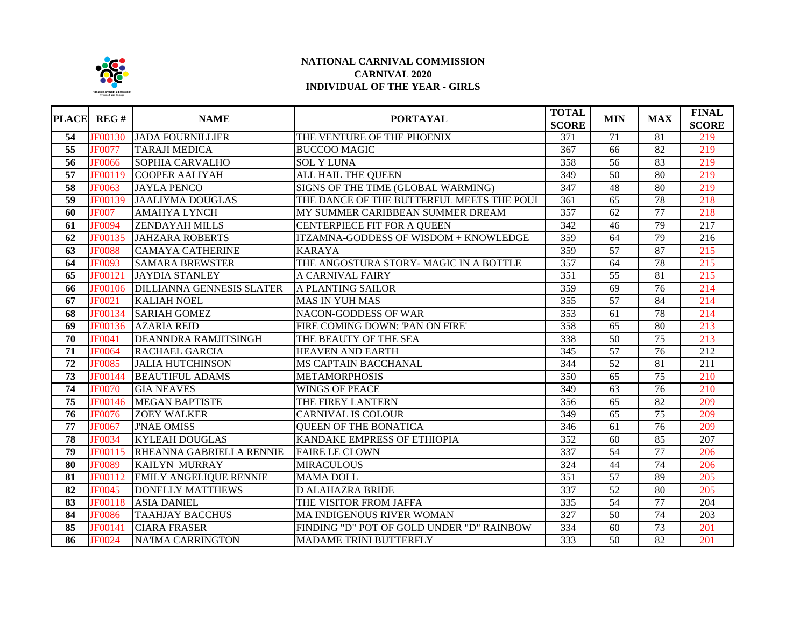

#### **NATIONAL CARNIVAL COMMISSION CARNIVAL 2020 INDIVIDUAL OF THE YEAR - GIRLS**

|                     | PLACE REG#     | <b>NAME</b>                      | <b>PORTAYAL</b>                              | <b>TOTAL</b><br><b>SCORE</b> | <b>MIN</b>      | <b>MAX</b>      | <b>FINAL</b><br><b>SCORE</b> |
|---------------------|----------------|----------------------------------|----------------------------------------------|------------------------------|-----------------|-----------------|------------------------------|
| 54                  | <b>JF00130</b> | <b>JADA FOURNILLIER</b>          | THE VENTURE OF THE PHOENIX                   | 371                          | 71              | 81              | 219                          |
| $\overline{55}$     | <b>JF0077</b>  | <b>TARAJI MEDICA</b>             | <b>BUCCOO MAGIC</b>                          | 367                          | 66              | 82              | 219                          |
| $\overline{56}$     | <b>JF0066</b>  | <b>SOPHIA CARVALHO</b>           | <b>SOL Y LUNA</b>                            | 358                          | 56              | 83              | 219                          |
| 57                  | JF00119        | <b>COOPER AALIYAH</b>            | ALL HAIL THE QUEEN                           | 349                          | 50              | 80              | 219                          |
| 58                  | <b>JF0063</b>  | <b>JAYLA PENCO</b>               | SIGNS OF THE TIME (GLOBAL WARMING)           | 347                          | 48              | 80              | 219                          |
| 59                  | <b>JF00139</b> | <b>JAALIYMA DOUGLAS</b>          | THE DANCE OF THE BUTTERFUL MEETS THE POUI    | 361                          | 65              | 78              | 218                          |
| 60                  | <b>JF007</b>   | <b>AMAHYA LYNCH</b>              | MY SUMMER CARIBBEAN SUMMER DREAM             | 357                          | 62              | $\overline{77}$ | 218                          |
| 61                  | <b>JF0094</b>  | <b>ZENDAYAH MILLS</b>            | CENTERPIECE FIT FOR A QUEEN                  | 342                          | 46              | 79              | 217                          |
| 62                  | JF00135        | <b>JAHZARA ROBERTS</b>           | <b>ITZAMNA-GODDESS OF WISDOM + KNOWLEDGE</b> | 359                          | $\overline{64}$ | 79              | $\overline{216}$             |
| 63                  | <b>JF0088</b>  | <b>CAMAYA CATHERINE</b>          | <b>KARAYA</b>                                | 359                          | 57              | 87              | 215                          |
| 64                  | <b>JF0093</b>  | <b>SAMARA BREWSTER</b>           | THE ANGOSTURA STORY- MAGIC IN A BOTTLE       | 357                          | 64              | 78              | 215                          |
| 65                  | JF00121        | <b>JAYDIA STANLEY</b>            | A CARNIVAL FAIRY                             | 351                          | 55              | 81              | 215                          |
| 66                  | <b>JF00106</b> | <b>DILLIANNA GENNESIS SLATER</b> | A PLANTING SAILOR                            | 359                          | 69              | 76              | 214                          |
| 67                  | <b>JF0021</b>  | <b>KALIAH NOEL</b>               | <b>MAS IN YUH MAS</b>                        | 355                          | 57              | 84              | 214                          |
| 68                  | JF00134        | <b>SARIAH GOMEZ</b>              | <b>NACON-GODDESS OF WAR</b>                  | 353                          | 61              | 78              | 214                          |
| 69                  | JF00136        | <b>AZARIA REID</b>               | FIRE COMING DOWN: 'PAN ON FIRE'              | 358                          | 65              | 80              | 213                          |
| 70                  | <b>JF0041</b>  | <b>DEANNDRA RAMJITSINGH</b>      | THE BEAUTY OF THE SEA                        | 338                          | $\overline{50}$ | 75              | 213                          |
| 71                  | <b>JF0064</b>  | <b>RACHAEL GARCIA</b>            | <b>HEAVEN AND EARTH</b>                      | 345                          | $\overline{57}$ | $\overline{76}$ | 212                          |
| $\overline{72}$     | <b>JF0085</b>  | <b>JALIA HUTCHINSON</b>          | MS CAPTAIN BACCHANAL                         | 344                          | 52              | $\overline{81}$ | $\overline{211}$             |
| $\overline{73}$     | <b>JF00144</b> | <b>BEAUTIFUL ADAMS</b>           | <b>METAMORPHOSIS</b>                         | 350                          | $\overline{65}$ | $\overline{75}$ | 210                          |
| 74                  | <b>JF0070</b>  | <b>GIA NEAVES</b>                | <b>WINGS OF PEACE</b>                        | 349                          | 63              | 76              | 210                          |
| $\overline{75}$     | JF00146        | <b>MEGAN BAPTISTE</b>            | THE FIREY LANTERN                            | 356                          | 65              | 82              | 209                          |
| $\overline{76}$     | <b>JF0076</b>  | <b>ZOEY WALKER</b>               | <b>CARNIVAL IS COLOUR</b>                    | 349                          | 65              | $\overline{75}$ | 209                          |
| $\overline{77}$     | <b>JF0067</b>  | <b>J'NAE OMISS</b>               | <b>QUEEN OF THE BONATICA</b>                 | $\frac{346}{ }$              | 61              | $\overline{76}$ | 209                          |
| 78                  | <b>JF0034</b>  | <b>KYLEAH DOUGLAS</b>            | KANDAKE EMPRESS OF ETHIOPIA                  | 352                          | 60              | 85              | 207                          |
| $\overline{79}$     | JF00115        | RHEANNA GABRIELLA RENNIE         | <b>FAIRE LE CLOWN</b>                        | 337                          | 54              | 77              | 206                          |
| $\overline{\bf 80}$ | <b>JF0089</b>  | <b>KAILYN MURRAY</b>             | <b>MIRACULOUS</b>                            | 324                          | 44              | 74              | 206                          |
| 81                  | JF00112        | <b>EMILY ANGELIQUE RENNIE</b>    | <b>MAMA DOLL</b>                             | $\overline{351}$             | 57              | 89              | 205                          |
| 82                  | <b>JF0045</b>  | <b>DONELLY MATTHEWS</b>          | <b>D ALAHAZRA BRIDE</b>                      | 337                          | $\overline{52}$ | 80              | 205                          |
| 83                  | <b>JF00118</b> | <b>ASIA DANIEL</b>               | THE VISITOR FROM JAFFA                       | $\overline{335}$             | $\overline{54}$ | 77              | 204                          |
| 84                  | <b>JF0086</b>  | <b>TAAHJAY BACCHUS</b>           | MA INDIGENOUS RIVER WOMAN                    | 327                          | 50              | $\overline{74}$ | 203                          |
| 85                  | <b>JF00141</b> | <b>CIARA FRASER</b>              | FINDING "D" POT OF GOLD UNDER "D" RAINBOW    | 334                          | 60              | $\overline{73}$ | 201                          |
| 86                  | <b>JF0024</b>  | <b>NA'IMA CARRINGTON</b>         | MADAME TRINI BUTTERFLY                       | 333                          | 50              | 82              | 201                          |